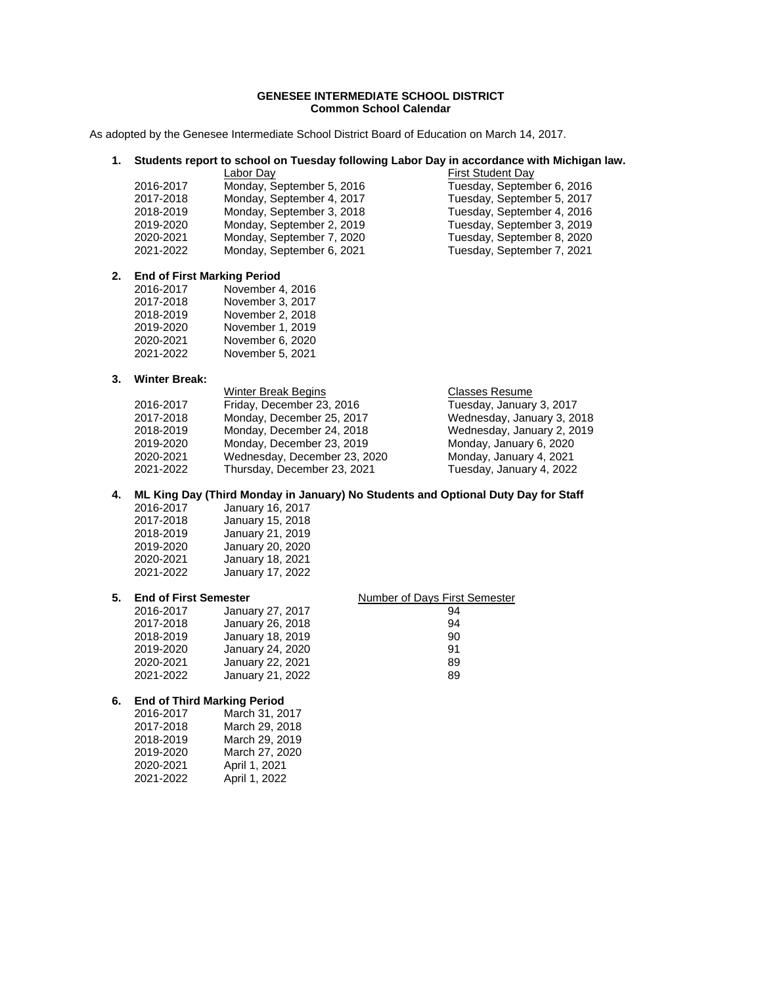## **GENESEE INTERMEDIATE SCHOOL DISTRICT Common School Calendar**

As adopted by the Genesee Intermediate School District Board of Education on March 14, 2017.

## **1. Students report to school on Tuesday following Labor Day in accordance with Michigan law.**

|           | Labor Day                 | <b>First Student Day</b>   |
|-----------|---------------------------|----------------------------|
| 2016-2017 | Monday, September 5, 2016 | Tuesday, September 6, 2016 |
| 2017-2018 | Monday, September 4, 2017 | Tuesday, September 5, 2017 |
| 2018-2019 | Monday, September 3, 2018 | Tuesday, September 4, 2016 |
| 2019-2020 | Monday, September 2, 2019 | Tuesday, September 3, 2019 |
| 2020-2021 | Monday, September 7, 2020 | Tuesday, September 8, 2020 |
| 2021-2022 | Monday, September 6, 2021 | Tuesday, September 7, 2021 |
|           |                           |                            |

#### **2. End of First Marking Period**

| 2016-2017 | November 4, 2016 |
|-----------|------------------|
| 2017-2018 | November 3, 2017 |
| 2018-2019 | November 2, 2018 |
| 2019-2020 | November 1, 2019 |
| 2020-2021 | November 6, 2020 |
| 2021-2022 | November 5, 2021 |
|           |                  |

## **3. Winter Break:**

| WHILE DIEAR. |                              |                       |
|--------------|------------------------------|-----------------------|
|              | Winter Break Begins          | <b>Classes Resume</b> |
| 2016-2017    | Friday, December 23, 2016    | Tuesday, January      |
| 2017-2018    | Monday, December 25, 2017    | Wednesday, Janu       |
| 2018-2019    | Monday, December 24, 2018    | Wednesday, Janu       |
| 2019-2020    | Monday, December 23, 2019    | Monday, January       |
| 2020-2021    | Wednesday, December 23, 2020 | Monday, January       |
| 2021-2022    | Thursday, December 23, 2021  | Tuesday, January      |
|              |                              |                       |

**4. ML King Day (Third Monday in January) No Students and Optional Duty Day for Staff** 

| 2016-2017 | January 16, 2017 |
|-----------|------------------|
| 2017-2018 | January 15, 2018 |
| 2018-2019 | January 21, 2019 |
| 2019-2020 | January 20, 2020 |
| 2020-2021 | January 18, 2021 |
| 2021-2022 | January 17, 2022 |

#### **5. End of First Semester**  Number of Days First Semester

## 2016-2017 January 27, 2017 94 2017-2018 January 26, 2018<br>2018-2019 January 18, 2019 90 90 2018-2019 January 18, 2019 90 2019-2020 January 24, 2020 91 2020-2021 January 22, 2021 89 2021-2022 January 21, 2022 89

## **6. End of Third Marking Period**

| 2016-2017 | March 31, 2017 |
|-----------|----------------|
| 2017-2018 | March 29, 2018 |
| 2018-2019 | March 29, 2019 |
| 2019-2020 | March 27, 2020 |
| 2020-2021 | April 1, 2021  |
| 2021-2022 | April 1, 2022  |
|           |                |

| <b>First Student Day</b>   |
|----------------------------|
| Tuesday, September 6, 2016 |
| Tuesday, September 5, 2017 |
| Tuesday, September 4, 2016 |
| Tuesday, September 3, 2019 |
| Tuesday, September 8, 2020 |
| Tuesday, September 7, 2021 |
|                            |

Tuesday, January 3, 2017 Wednesday, January 3, 2018 Wednesday, January 2, 2019 Monday, January 6, 2020 Monday, January 4, 2021 Tuesday, January 4, 2022

# 2016-2017 January 16, 2017